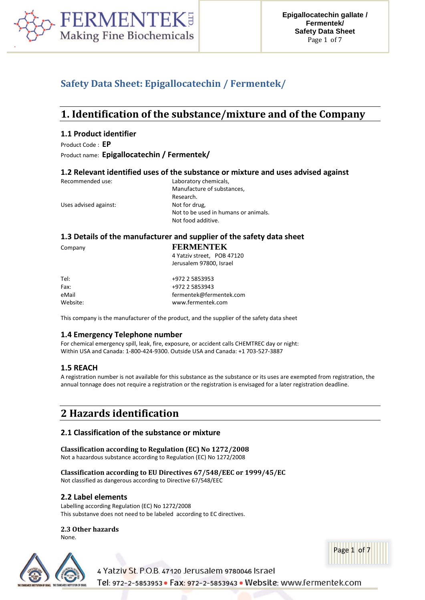

## **Safety Data Sheet: Epigallocatechin / Fermentek/**

## **1. Identification of the substance/mixture and of the Company**

## **1.1 Product identifier**

Product Code : **EP**

Product name: **Epigallocatechin / Fermentek/**

## **1.2 Relevant identified uses of the substance or mixture and uses advised against**

| Recommended use:      | Laboratory chemicals,                |
|-----------------------|--------------------------------------|
|                       | Manufacture of substances,           |
|                       | Research.                            |
| Uses advised against: | Not for drug,                        |
|                       | Not to be used in humans or animals. |
|                       | Not food additive.                   |
|                       |                                      |

## **1.3 Details of the manufacturer and supplier of the safety data sheet**

Company **FERMENTEK**

4 Yatziv street, POB 47120 Jerusalem 97800, Israel

| Tel:     | +972 2 5853953          |
|----------|-------------------------|
| Fax:     | +972 2 5853943          |
| eMail    | fermentek@fermentek.com |
| Website: | www.fermentek.com       |

This company is the manufacturer of the product, and the supplier of the safety data sheet

## **1.4 Emergency Telephone number**

For chemical emergency spill, leak, fire, exposure, or accident calls CHEMTREC day or night: Within USA and Canada: 1-800-424-9300. Outside USA and Canada: +1 703-527-3887

## **1.5 REACH**

A registration number is not available for this substance as the substance or its uses are exempted from registration, the annual tonnage does not require a registration or the registration is envisaged for a later registration deadline.

# **2 Hazards identification**

## **2.1 Classification of the substance or mixture**

**Classification according to Regulation (EC) No 1272/2008** Not a hazardous substance according to Regulation (EC) No 1272/2008

**Classification according to EU Directives 67/548/EEC or 1999/45/EC** Not classified as dangerous according to Directive 67/548/EEC

## **2.2 Label elements**

Labelling according Regulation (EC) No 1272/2008 This substanve does not need to be labeled according to EC directives.

## **2.3 Other hazards**

None.





4 Yatziv St. P.O.B. 47120 Jerusalem 9780046 Israel Tel: 972-2-5853953 · Fax: 972-2-5853943 · Website: www.fermentek.com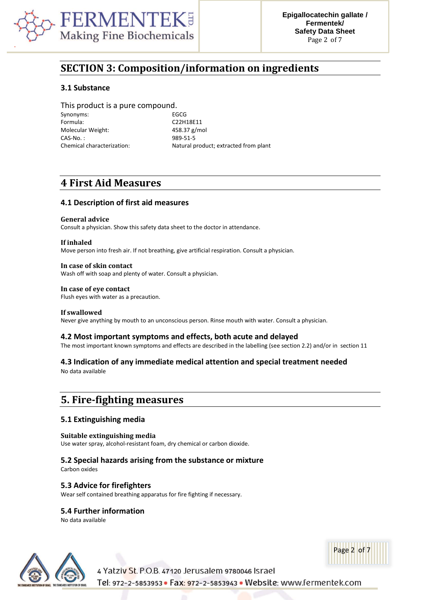

# **SECTION 3: Composition/information on ingredients**

## **3.1 Substance**

This product is a pure compound. Synonyms: EGCG Formula: C22H18E11 Molecular Weight: 458.37 g/mol CAS-No. : 989-51-5

Chemical characterization: Natural product; extracted from plant

## **4 First Aid Measures**

## **4.1 Description of first aid measures**

#### **General advice**

Consult a physician. Show this safety data sheet to the doctor in attendance.

#### **If inhaled**

Move person into fresh air. If not breathing, give artificial respiration. Consult a physician.

#### **In case of skin contact**

Wash off with soap and plenty of water. Consult a physician.

#### **In case of eye contact**

Flush eyes with water as a precaution.

#### **If swallowed**

Never give anything by mouth to an unconscious person. Rinse mouth with water. Consult a physician.

#### **4.2 Most important symptoms and effects, both acute and delayed**

The most important known symptoms and effects are described in the labelling (see section 2.2) and/or in section 11

## **4.3 Indication of any immediate medical attention and special treatment needed**

No data available

## **5. Fire-fighting measures**

## **5.1 Extinguishing media**

#### **Suitable extinguishing media**

Use water spray, alcohol-resistant foam, dry chemical or carbon dioxide.

## **5.2 Special hazards arising from the substance or mixture**

4 Yatziv St. P.O.B. 47120 Jerusalem 9780046 Israel

Carbon oxides

## **5.3 Advice for firefighters**

Wear self contained breathing apparatus for fire fighting if necessary.

## **5.4 Further information**

No data available





Tel: 972-2-5853953 · Fax: 972-2-5853943 · Website: www.fermentek.com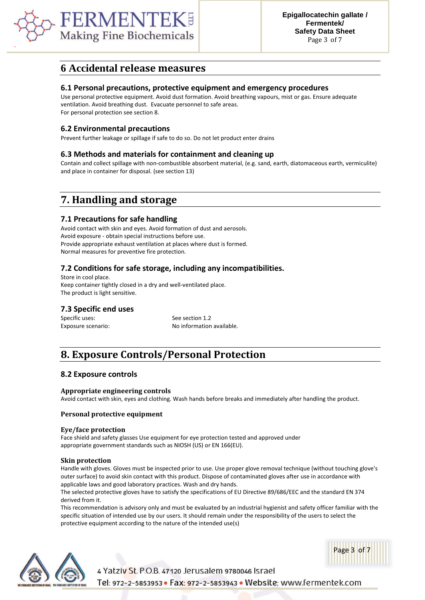

## **6 Accidental release measures**

#### **6.1 Personal precautions, protective equipment and emergency procedures**

Use personal protective equipment. Avoid dust formation. Avoid breathing vapours, mist or gas. Ensure adequate ventilation. Avoid breathing dust. Evacuate personnel to safe areas. For personal protection see section 8.

## **6.2 Environmental precautions**

Prevent further leakage or spillage if safe to do so. Do not let product enter drains

## **6.3 Methods and materials for containment and cleaning up**

Contain and collect spillage with non-combustible absorbent material, (e.g. sand, earth, diatomaceous earth, vermiculite) and place in container for disposal. (see section 13)

# **7. Handling and storage**

## **7.1 Precautions for safe handling**

Avoid contact with skin and eyes. Avoid formation of dust and aerosols. Avoid exposure - obtain special instructions before use. Provide appropriate exhaust ventilation at places where dust is formed. Normal measures for preventive fire protection.

## **7.2 Conditions for safe storage, including any incompatibilities.**

Store in cool place. Keep container tightly closed in a dry and well-ventilated place. The product is light sensitive.

## **7.3 Specific end uses**

Specific uses: Specific uses: See section 1.2

Exposure scenario: No information available.

# **8. Exposure Controls/Personal Protection**

#### **8.2 Exposure controls**

#### **Appropriate engineering controls**

Avoid contact with skin, eyes and clothing. Wash hands before breaks and immediately after handling the product.

#### **Personal protective equipment**

#### **Eye/face protection**

Face shield and safety glasses Use equipment for eye protection tested and approved under appropriate government standards such as NIOSH (US) or EN 166(EU).

#### **Skin protection**

Handle with gloves. Gloves must be inspected prior to use. Use proper glove removal technique (without touching glove's outer surface) to avoid skin contact with this product. Dispose of contaminated gloves after use in accordance with applicable laws and good laboratory practices. Wash and dry hands.

The selected protective gloves have to satisfy the specifications of EU Directive 89/686/EEC and the standard EN 374 derived from it.

This recommendation is advisory only and must be evaluated by an industrial hygienist and safety officer familiar with the specific situation of intended use by our users. It should remain under the responsibility of the users to select the protective equipment according to the nature of the intended use(s)





4 Yatziv St. P.O.B. 47120 Jerusalem 9780046 Israel Tel: 972-2-5853953 · Fax: 972-2-5853943 · Website: www.fermentek.com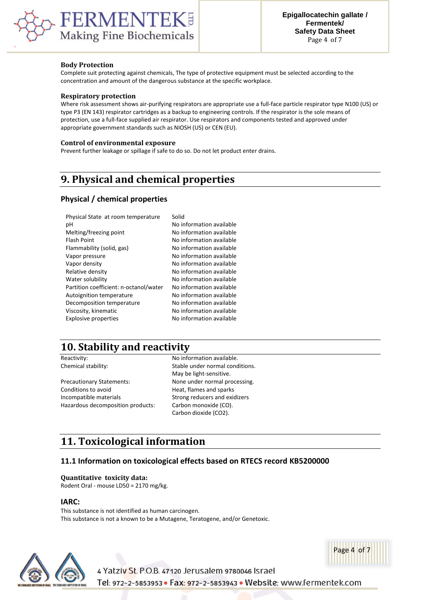

#### **Body Protection**

Complete suit protecting against chemicals, The type of protective equipment must be selected according to the concentration and amount of the dangerous substance at the specific workplace.

#### **Respiratory protection**

Where risk assessment shows air-purifying respirators are appropriate use a full-face particle respirator type N100 (US) or type P3 (EN 143) respirator cartridges as a backup to engineering controls. If the respirator is the sole means of protection, use a full-face supplied air respirator. Use respirators and components tested and approved under appropriate government standards such as NIOSH (US) or CEN (EU).

#### **Control of environmental exposure**

Prevent further leakage or spillage if safe to do so. Do not let product enter drains.

# **9. Physical and chemical properties**

## **Physical / chemical properties**

| Physical State at room temperature     | Solid                    |
|----------------------------------------|--------------------------|
| рH                                     | No information available |
| Melting/freezing point                 | No information available |
| <b>Flash Point</b>                     | No information available |
| Flammability (solid, gas)              | No information available |
| Vapor pressure                         | No information available |
| Vapor density                          | No information available |
| Relative density                       | No information available |
| Water solubility                       | No information available |
| Partition coefficient: n-octanol/water | No information available |
| Autoignition temperature               | No information available |
| Decomposition temperature              | No information available |
| Viscosity, kinematic                   | No information available |
| <b>Explosive properties</b>            | No information available |
|                                        |                          |

## **10. Stability and reactivity**

| Reactivity:                       | No inforr  |
|-----------------------------------|------------|
| Chemical stability:               | Stable un  |
|                                   | May be li  |
| <b>Precautionary Statements:</b>  | None und   |
| Conditions to avoid               | Heat, flar |
| Incompatible materials            | Strong re  |
| Hazardous decomposition products: | Carbon n   |

mation available. der normal conditions. ight-sensitive. der normal processing. mes and sparks educers and exidizers nonoxide (CO). Carbon dioxide (CO2).

# **11. Toxicological information**

## **11.1 Information on toxicological effects based on RTECS record KB5200000**

4 Yatziv St. P.O.B. 47120 Jerusalem 9780046 Israel

#### **Quantitative toxicity data:**

Rodent Oral - mouse LD50 = 2170 mg/kg.

#### **IARC:**

This substance is not identified as human carcinogen. This substance is not a known to be a Mutagene, Teratogene, and/or Genetoxic.





Tel: 972-2-5853953 · Fax: 972-2-5853943 · Website: www.fermentek.com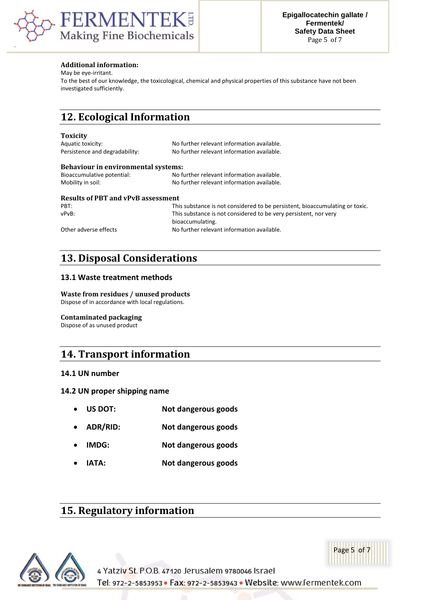

## **Additional information:**

May be eye-irritant.

To the best of our knowledge, the toxicological, chemical and physical properties of this substance have not been investigated sufficiently.

# **12. Ecological Information**

#### **Toxicity**

| Aquatic toxicity:                          | No further relevant information available. |  |
|--------------------------------------------|--------------------------------------------|--|
| Persistence and degradability:             | No further relevant information available. |  |
| <b>Behaviour in environmental systems:</b> |                                            |  |
| Bioaccumulative potential:                 | No further relevant information available. |  |
| Mobility in soil:                          | No further relevant information available. |  |
|                                            |                                            |  |

## **Results of PBT and vPvB assessment**

| PRT:                  | This substance is not considered to be persistent, bioaccumulating or toxic. |
|-----------------------|------------------------------------------------------------------------------|
| vPvB:                 | This substance is not considered to be very persistent, nor very             |
|                       | bioaccumulating.                                                             |
| Other adverse effects | No further relevant information available.                                   |

# **13. Disposal Considerations**

## **13.1 Waste treatment methods**

## **Waste from residues / unused products**

Dispose of in accordance with local regulations.

## **Contaminated packaging**

Dispose of as unused product

## **14. Transport information**

## **14.1 UN number**

## **14.2 UN proper shipping name**

- **US DOT: Not dangerous goods**
- **ADR/RID: Not dangerous goods**
- **IMDG: Not dangerous goods**
- **IATA: Not dangerous goods**

## **15. Regulatory information**



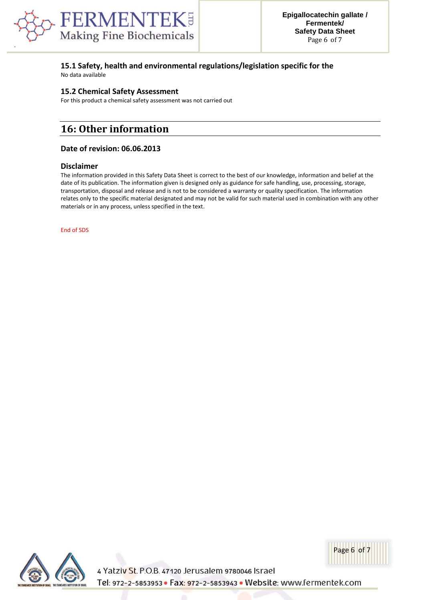

## **15.1 Safety, health and environmental regulations/legislation specific for the**

No data available

## **15.2 Chemical Safety Assessment**

For this product a chemical safety assessment was not carried out

# **16: Other information**

## **Date of revision: 06.06.2013**

#### **Disclaimer**

The information provided in this Safety Data Sheet is correct to the best of our knowledge, information and belief at the date of its publication. The information given is designed only as guidance for safe handling, use, processing, storage, transportation, disposal and release and is not to be considered a warranty or quality specification. The information relates only to the specific material designated and may not be valid for such material used in combination with any other materials or in any process, unless specified in the text.

End of SDS